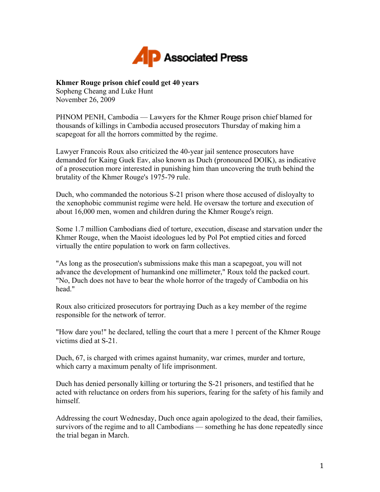

## **Khmer Rouge prison chief could get 40 years**

Sopheng Cheang and Luke Hunt November 26, 2009

PHNOM PENH, Cambodia — Lawyers for the Khmer Rouge prison chief blamed for thousands of killings in Cambodia accused prosecutors Thursday of making him a scapegoat for all the horrors committed by the regime.

Lawyer Francois Roux also criticized the 40-year jail sentence prosecutors have demanded for Kaing Guek Eav, also known as Duch (pronounced DOIK), as indicative of a prosecution more interested in punishing him than uncovering the truth behind the brutality of the Khmer Rouge's 1975-79 rule.

Duch, who commanded the notorious S-21 prison where those accused of disloyalty to the xenophobic communist regime were held. He oversaw the torture and execution of about 16,000 men, women and children during the Khmer Rouge's reign.

Some 1.7 million Cambodians died of torture, execution, disease and starvation under the Khmer Rouge, when the Maoist ideologues led by Pol Pot emptied cities and forced virtually the entire population to work on farm collectives.

"As long as the prosecution's submissions make this man a scapegoat, you will not advance the development of humankind one millimeter," Roux told the packed court. "No, Duch does not have to bear the whole horror of the tragedy of Cambodia on his head."

Roux also criticized prosecutors for portraying Duch as a key member of the regime responsible for the network of terror.

"How dare you!" he declared, telling the court that a mere 1 percent of the Khmer Rouge victims died at S-21.

Duch, 67, is charged with crimes against humanity, war crimes, murder and torture, which carry a maximum penalty of life imprisonment.

Duch has denied personally killing or torturing the S-21 prisoners, and testified that he acted with reluctance on orders from his superiors, fearing for the safety of his family and himself.

Addressing the court Wednesday, Duch once again apologized to the dead, their families, survivors of the regime and to all Cambodians — something he has done repeatedly since the trial began in March.